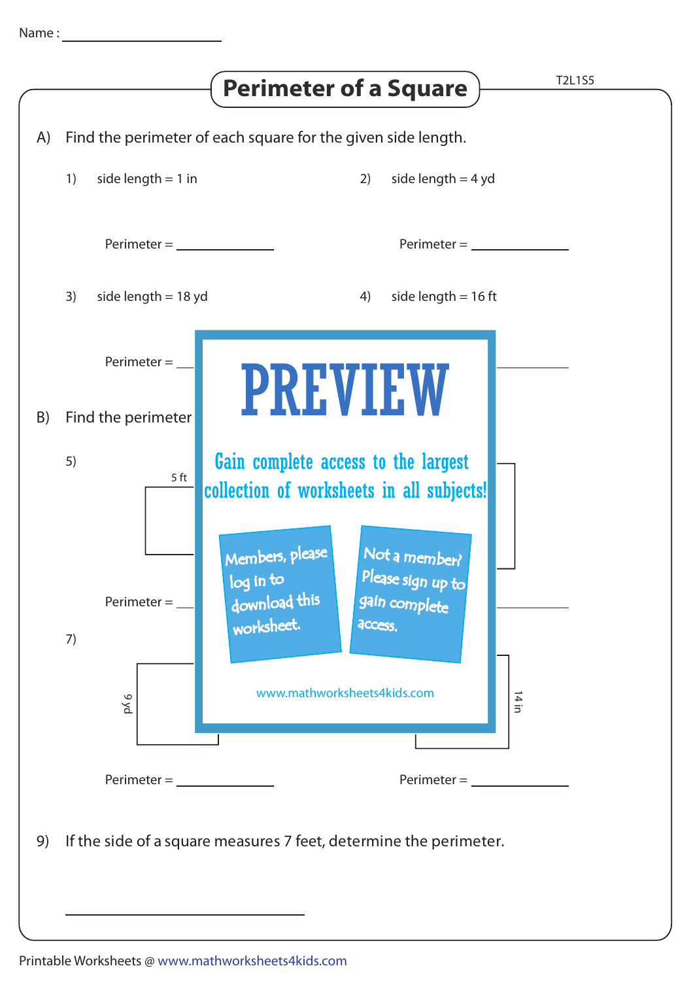